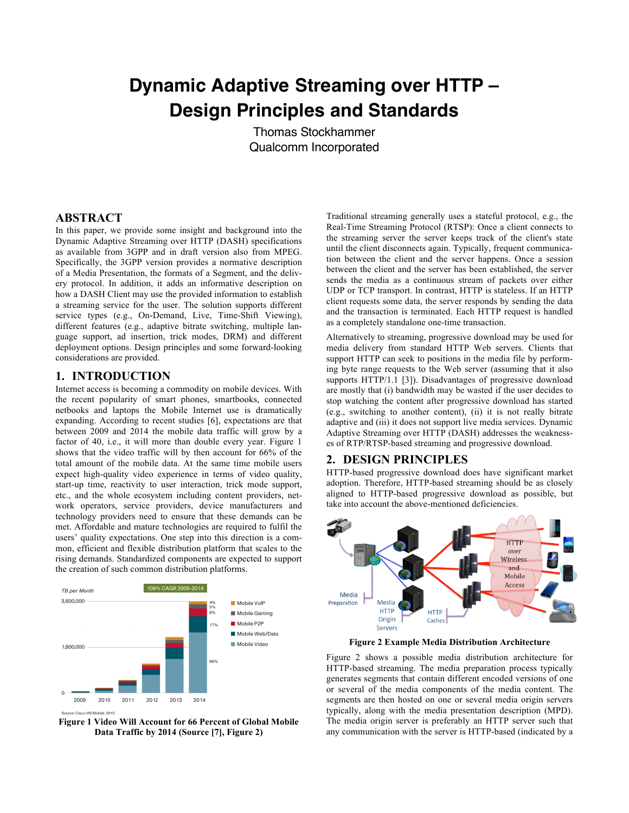# **Dynamic Adaptive Streaming over HTTP – Design Principles and Standards**

Thomas Stockhammer Qualcomm Incorporated

#### **ABSTRACT**

In this paper, we provide some insight and background into the Dynamic Adaptive Streaming over HTTP (DASH) specifications as available from 3GPP and in draft version also from MPEG. Specifically, the 3GPP version provides a normative description of a Media Presentation, the formats of a Segment, and the delivery protocol. In addition, it adds an informative description on how a DASH Client may use the provided information to establish a streaming service for the user. The solution supports different service types (e.g., On-Demand, Live, Time-Shift Viewing), different features (e.g., adaptive bitrate switching, multiple language support, ad insertion, trick modes, DRM) and different deployment options. Design principles and some forward-looking considerations are provided.

## **1. INTRODUCTION**

Internet access is becoming a commodity on mobile devices. With the recent popularity of smart phones, smartbooks, connected netbooks and laptops the Mobile Internet use is dramatically expanding. According to recent studies [6], expectations are that between 2009 and 2014 the mobile data traffic will grow by a factor of 40, i.e., it will more than double every year. Figure 1 shows that the video traffic will by then account for 66% of the total amount of the mobile data. At the same time mobile users expect high-quality video experience in terms of video quality, start-up time, reactivity to user interaction, trick mode support, etc., and the whole ecosystem including content providers, network operators, service providers, device manufacturers and technology providers need to ensure that these demands can be met. Affordable and mature technologies are required to fulfil the users' quality expectations. One step into this direction is a common, efficient and flexible distribution platform that scales to the rising demands. Standardized components are expected to support the creation of such common distribution platforms.



**Figure 1 Video Will Account for 66 Percent of Global Mobile**  Data Traffic by 2014 (Source [7], Figure 2)

Traditional streaming generally uses a stateful protocol, e.g., the Real-Time Streaming Protocol (RTSP): Once a client connects to the streaming server the server keeps track of the client's state until the client disconnects again. Typically, frequent communication between the client and the server happens. Once a session between the client and the server has been established, the server sends the media as a continuous stream of packets over either UDP or TCP transport. In contrast, HTTP is stateless. If an HTTP client requests some data, the server responds by sending the data and the transaction is terminated. Each HTTP request is handled as a completely standalone one-time transaction.

Alternatively to streaming, progressive download may be used for media delivery from standard HTTP Web servers. Clients that support HTTP can seek to positions in the media file by performing byte range requests to the Web server (assuming that it also supports HTTP/1.1 [3]). Disadvantages of progressive download are mostly that (i) bandwidth may be wasted if the user decides to stop watching the content after progressive download has started (e.g., switching to another content), (ii) it is not really bitrate adaptive and (iii) it does not support live media services. Dynamic Adaptive Streaming over HTTP (DASH) addresses the weaknesses of RTP/RTSP-based streaming and progressive download.

#### **2. DESIGN PRINCIPLES**

HTTP-based progressive download does have significant market adoption. Therefore, HTTP-based streaming should be as closely aligned to HTTP-based progressive download as possible, but take into account the above-mentioned deficiencies.



**Figure 2 Example Media Distribution Architecture**

Figure 2 shows a possible media distribution architecture for HTTP-based streaming. The media preparation process typically generates segments that contain different encoded versions of one or several of the media components of the media content. The segments are then hosted on one or several media origin servers typically, along with the media presentation description (MPD). The media origin server is preferably an HTTP server such that any communication with the server is HTTP-based (indicated by a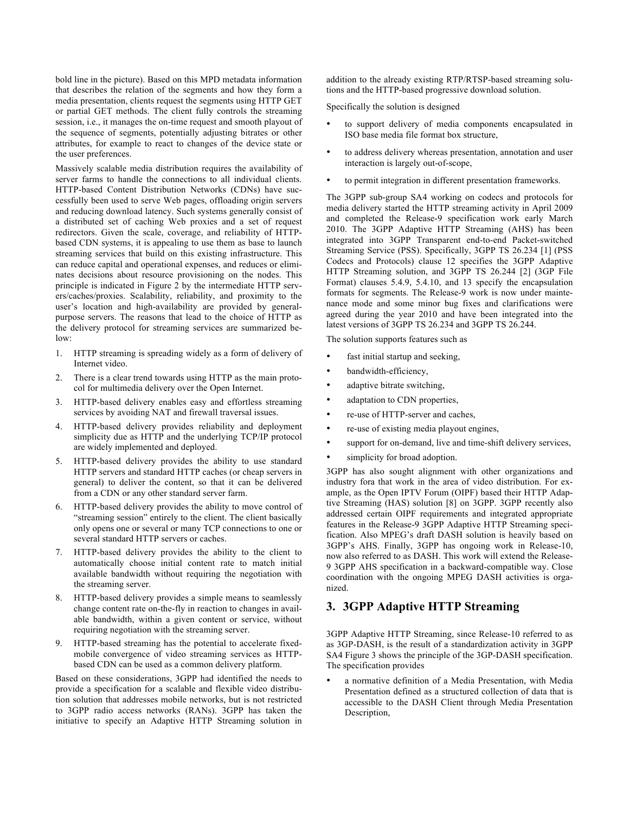bold line in the picture). Based on this MPD metadata information that describes the relation of the segments and how they form a media presentation, clients request the segments using HTTP GET or partial GET methods. The client fully controls the streaming session, i.e., it manages the on-time request and smooth playout of the sequence of segments, potentially adjusting bitrates or other attributes, for example to react to changes of the device state or the user preferences.

Massively scalable media distribution requires the availability of server farms to handle the connections to all individual clients. HTTP-based Content Distribution Networks (CDNs) have successfully been used to serve Web pages, offloading origin servers and reducing download latency. Such systems generally consist of a distributed set of caching Web proxies and a set of request redirectors. Given the scale, coverage, and reliability of HTTPbased CDN systems, it is appealing to use them as base to launch streaming services that build on this existing infrastructure. This can reduce capital and operational expenses, and reduces or eliminates decisions about resource provisioning on the nodes. This principle is indicated in Figure 2 by the intermediate HTTP servers/caches/proxies. Scalability, reliability, and proximity to the user's location and high-availability are provided by generalpurpose servers. The reasons that lead to the choice of HTTP as the delivery protocol for streaming services are summarized below:

- 1. HTTP streaming is spreading widely as a form of delivery of Internet video.
- 2. There is a clear trend towards using HTTP as the main protocol for multimedia delivery over the Open Internet.
- 3. HTTP-based delivery enables easy and effortless streaming services by avoiding NAT and firewall traversal issues.
- 4. HTTP-based delivery provides reliability and deployment simplicity due as HTTP and the underlying TCP/IP protocol are widely implemented and deployed.
- 5. HTTP-based delivery provides the ability to use standard HTTP servers and standard HTTP caches (or cheap servers in general) to deliver the content, so that it can be delivered from a CDN or any other standard server farm.
- 6. HTTP-based delivery provides the ability to move control of "streaming session" entirely to the client. The client basically only opens one or several or many TCP connections to one or several standard HTTP servers or caches.
- 7. HTTP-based delivery provides the ability to the client to automatically choose initial content rate to match initial available bandwidth without requiring the negotiation with the streaming server.
- 8. HTTP-based delivery provides a simple means to seamlessly change content rate on-the-fly in reaction to changes in available bandwidth, within a given content or service, without requiring negotiation with the streaming server.
- 9. HTTP-based streaming has the potential to accelerate fixedmobile convergence of video streaming services as HTTPbased CDN can be used as a common delivery platform.

Based on these considerations, 3GPP had identified the needs to provide a specification for a scalable and flexible video distribution solution that addresses mobile networks, but is not restricted to 3GPP radio access networks (RANs). 3GPP has taken the initiative to specify an Adaptive HTTP Streaming solution in

addition to the already existing RTP/RTSP-based streaming solutions and the HTTP-based progressive download solution.

Specifically the solution is designed

- to support delivery of media components encapsulated in ISO base media file format box structure,
- to address delivery whereas presentation, annotation and user interaction is largely out-of-scope,
- to permit integration in different presentation frameworks.

The 3GPP sub-group SA4 working on codecs and protocols for media delivery started the HTTP streaming activity in April 2009 and completed the Release-9 specification work early March 2010. The 3GPP Adaptive HTTP Streaming (AHS) has been integrated into 3GPP Transparent end-to-end Packet-switched Streaming Service (PSS). Specifically, 3GPP TS 26.234 [1] (PSS Codecs and Protocols) clause 12 specifies the 3GPP Adaptive HTTP Streaming solution, and 3GPP TS 26.244 [2] (3GP File Format) clauses 5.4.9, 5.4.10, and 13 specify the encapsulation formats for segments. The Release-9 work is now under maintenance mode and some minor bug fixes and clarifications were agreed during the year 2010 and have been integrated into the latest versions of 3GPP TS 26.234 and 3GPP TS 26.244.

The solution supports features such as

- fast initial startup and seeking,
- bandwidth-efficiency,
- adaptive bitrate switching,
- adaptation to CDN properties,
- re-use of HTTP-server and caches,
- re-use of existing media playout engines,
- support for on-demand, live and time-shift delivery services,
- simplicity for broad adoption.

3GPP has also sought alignment with other organizations and industry fora that work in the area of video distribution. For example, as the Open IPTV Forum (OIPF) based their HTTP Adaptive Streaming (HAS) solution [8] on 3GPP. 3GPP recently also addressed certain OIPF requirements and integrated appropriate features in the Release-9 3GPP Adaptive HTTP Streaming specification. Also MPEG's draft DASH solution is heavily based on 3GPP's AHS. Finally, 3GPP has ongoing work in Release-10, now also referred to as DASH. This work will extend the Release-9 3GPP AHS specification in a backward-compatible way. Close coordination with the ongoing MPEG DASH activities is organized.

## **3. 3GPP Adaptive HTTP Streaming**

3GPP Adaptive HTTP Streaming, since Release-10 referred to as as 3GP-DASH, is the result of a standardization activity in 3GPP SA4 Figure 3 shows the principle of the 3GP-DASH specification. The specification provides

• a normative definition of a Media Presentation, with Media Presentation defined as a structured collection of data that is accessible to the DASH Client through Media Presentation Description,